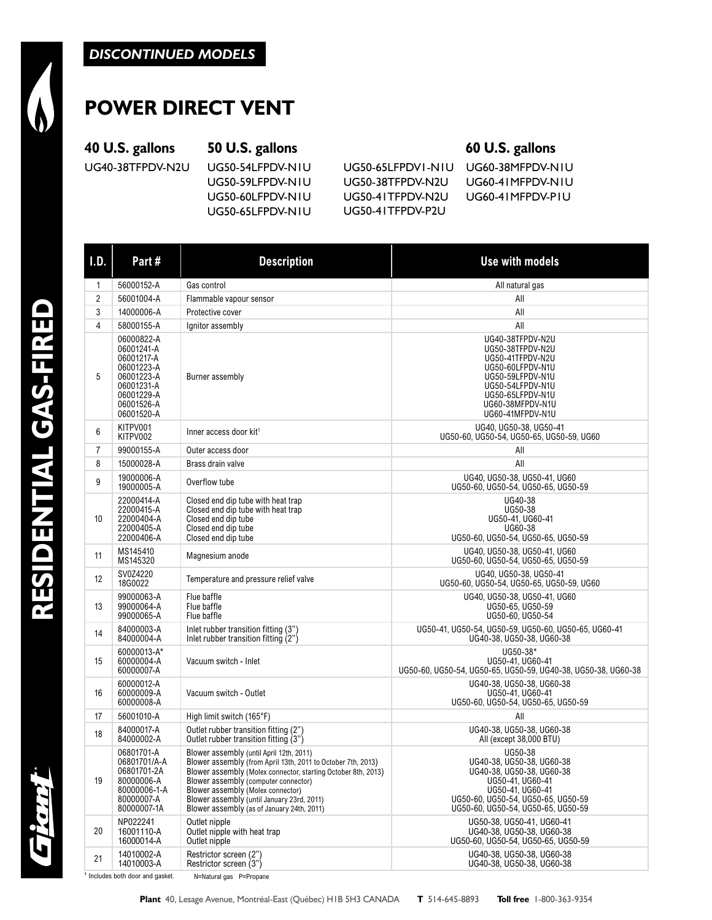# **POWER DIRECT VENT**

### **40 U.S. gallons 50 U.S. gallons 60 U.S. gallons**

UG40-38TFPDV-N2U UG50-54LFPDV-N1U UG50-65LFPDV1-N1U UG60-38MFPDV-N1U

UG50-60LFPDV-N1U UG50-41TFPDV-N2U UG60-41MFPDV-P1U UG50-65LFPDV-N1U UG50-41TFPDV-P2U

UG50-59LFPDV-N1U UG50-38TFPDV-N2U UG60-41MFPDV-N1U

| I.D.           | Part#                                                                                                                      | <b>Description</b>                                                                                                                                                                                                                                                                                                                                 | <b>Use with models</b>                                                                                                                                                                |
|----------------|----------------------------------------------------------------------------------------------------------------------------|----------------------------------------------------------------------------------------------------------------------------------------------------------------------------------------------------------------------------------------------------------------------------------------------------------------------------------------------------|---------------------------------------------------------------------------------------------------------------------------------------------------------------------------------------|
| 1              | 56000152-A                                                                                                                 | Gas control                                                                                                                                                                                                                                                                                                                                        | All natural gas                                                                                                                                                                       |
| $\overline{2}$ | 56001004-A                                                                                                                 | Flammable vapour sensor                                                                                                                                                                                                                                                                                                                            | All                                                                                                                                                                                   |
| 3              | 14000006-A                                                                                                                 | Protective cover                                                                                                                                                                                                                                                                                                                                   | All                                                                                                                                                                                   |
| 4              | 58000155-A                                                                                                                 | Ignitor assembly                                                                                                                                                                                                                                                                                                                                   | All                                                                                                                                                                                   |
| 5              | 06000822-A<br>06001241-A<br>06001217-A<br>06001223-A<br>06001223-A<br>06001231-A<br>06001229-A<br>06001526-A<br>06001520-A | Burner assembly                                                                                                                                                                                                                                                                                                                                    | UG40-38TFPDV-N2U<br>UG50-38TFPDV-N2U<br>UG50-41TFPDV-N2U<br>UG50-60LFPDV-N1U<br>UG50-59LFPDV-N1U<br>UG50-54LFPDV-N1U<br>UG50-65LFPDV-N1U<br>UG60-38MFPDV-N1U<br>UG60-41MFPDV-N1U      |
| 6              | KITPV001<br>KITPV002                                                                                                       | Inner access door kit <sup>1</sup>                                                                                                                                                                                                                                                                                                                 | UG40, UG50-38, UG50-41<br>UG50-60, UG50-54, UG50-65, UG50-59, UG60                                                                                                                    |
| $\overline{7}$ | 99000155-A                                                                                                                 | Outer access door                                                                                                                                                                                                                                                                                                                                  | All                                                                                                                                                                                   |
| 8              | 15000028-A                                                                                                                 | Brass drain valve                                                                                                                                                                                                                                                                                                                                  | All                                                                                                                                                                                   |
| 9              | 19000006-A<br>19000005-A                                                                                                   | Overflow tube                                                                                                                                                                                                                                                                                                                                      | UG40, UG50-38, UG50-41, UG60<br>UG50-60, UG50-54, UG50-65, UG50-59                                                                                                                    |
| 10             | 22000414-A<br>22000415-A<br>22000404-A<br>22000405-A<br>22000406-A                                                         | Closed end dip tube with heat trap<br>Closed end dip tube with heat trap<br>Closed end dip tube<br>Closed end dip tube<br>Closed end dip tube                                                                                                                                                                                                      | UG40-38<br>UG50-38<br>UG50-41, UG60-41<br>UG60-38<br>UG50-60, UG50-54, UG50-65, UG50-59                                                                                               |
| 11             | MS145410<br>MS145320                                                                                                       | Magnesium anode                                                                                                                                                                                                                                                                                                                                    | UG40, UG50-38, UG50-41, UG60<br>UG50-60, UG50-54, UG50-65, UG50-59                                                                                                                    |
| 12             | SV0Z4220<br>18G0022                                                                                                        | Temperature and pressure relief valve                                                                                                                                                                                                                                                                                                              | UG40, UG50-38, UG50-41<br>UG50-60, UG50-54, UG50-65, UG50-59, UG60                                                                                                                    |
| 13             | 99000063-A<br>99000064-A<br>99000065-A                                                                                     | Flue baffle<br>Flue baffle<br>Flue baffle                                                                                                                                                                                                                                                                                                          | UG40, UG50-38, UG50-41, UG60<br>UG50-65, UG50-59<br>UG50-60, UG50-54                                                                                                                  |
| 14             | 84000003-A<br>84000004-A                                                                                                   | Inlet rubber transition fitting (3")<br>Inlet rubber transition fitting (2")                                                                                                                                                                                                                                                                       | UG50-41, UG50-54, UG50-59, UG50-60, UG50-65, UG60-41<br>UG40-38, UG50-38, UG60-38                                                                                                     |
| 15             | 60000013-A*<br>60000004-A<br>60000007-A                                                                                    | Vacuum switch - Inlet                                                                                                                                                                                                                                                                                                                              | UG50-38*<br>UG50-41, UG60-41<br>UG50-60, UG50-54, UG50-65, UG50-59, UG40-38, UG50-38, UG60-38                                                                                         |
| 16             | 60000012-A<br>60000009-A<br>60000008-A                                                                                     | Vacuum switch - Outlet                                                                                                                                                                                                                                                                                                                             | UG40-38, UG50-38, UG60-38<br>UG50-41, UG60-41<br>UG50-60, UG50-54, UG50-65, UG50-59                                                                                                   |
| 17             | 56001010-A                                                                                                                 | High limit switch (165°F)                                                                                                                                                                                                                                                                                                                          | All                                                                                                                                                                                   |
| 18             | 84000017-A<br>84000002-A                                                                                                   | Outlet rubber transition fitting (2")<br>Outlet rubber transition fitting (3")                                                                                                                                                                                                                                                                     | UG40-38, UG50-38, UG60-38<br>All (except 38,000 BTU)                                                                                                                                  |
| 19             | 06801701-A<br>06801701/A-A<br>06801701-2A<br>80000006-A<br>80000006-1-A<br>80000007-A<br>80000007-1A                       | Blower assembly (until April 12th, 2011)<br>Blower assembly (from April 13th, 2011 to October 7th, 2013)<br>Blower assembly (Molex connector, starting October 8th, 2013)<br>Blower assembly (computer connector)<br>Blower assembly (Molex connector)<br>Blower assembly (until January 23rd, 2011)<br>Blower assembly (as of January 24th, 2011) | UG50-38<br>UG40-38, UG50-38, UG60-38<br>UG40-38, UG50-38, UG60-38<br>UG50-41, UG60-41<br>UG50-41, UG60-41<br>UG50-60, UG50-54, UG50-65, UG50-59<br>UG50-60, UG50-54, UG50-65, UG50-59 |
| 20             | NP022241<br>16001110-A<br>16000014-A                                                                                       | Outlet nipple<br>Outlet nipple with heat trap<br>Outlet nipple                                                                                                                                                                                                                                                                                     | UG50-38, UG50-41, UG60-41<br>UG40-38, UG50-38, UG60-38<br>UG50-60, UG50-54, UG50-65, UG50-59                                                                                          |
| 21             | 14010002-A<br>14010003-A                                                                                                   | Restrictor screen (2")<br>Restrictor screen $\langle 3^n \rangle$                                                                                                                                                                                                                                                                                  | UG40-38, UG50-38, UG60-38<br>UG40-38, UG50-38, UG60-38                                                                                                                                |

Includes both door and gasket. N=Natural gas P=Propane